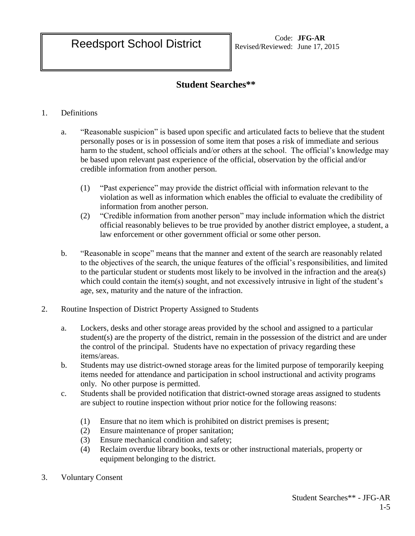## **Student Searches\*\***

## 1. Definitions

- a. "Reasonable suspicion" is based upon specific and articulated facts to believe that the student personally poses or is in possession of some item that poses a risk of immediate and serious harm to the student, school officials and/or others at the school. The official's knowledge may be based upon relevant past experience of the official, observation by the official and/or credible information from another person.
	- (1) "Past experience" may provide the district official with information relevant to the violation as well as information which enables the official to evaluate the credibility of information from another person.
	- (2) "Credible information from another person" may include information which the district official reasonably believes to be true provided by another district employee, a student, a law enforcement or other government official or some other person.
- b. "Reasonable in scope" means that the manner and extent of the search are reasonably related to the objectives of the search, the unique features of the official's responsibilities, and limited to the particular student or students most likely to be involved in the infraction and the area(s) which could contain the item(s) sought, and not excessively intrusive in light of the student's age, sex, maturity and the nature of the infraction.
- 2. Routine Inspection of District Property Assigned to Students
	- a. Lockers, desks and other storage areas provided by the school and assigned to a particular student(s) are the property of the district, remain in the possession of the district and are under the control of the principal. Students have no expectation of privacy regarding these items/areas.
	- b. Students may use district-owned storage areas for the limited purpose of temporarily keeping items needed for attendance and participation in school instructional and activity programs only. No other purpose is permitted.
	- c. Students shall be provided notification that district-owned storage areas assigned to students are subject to routine inspection without prior notice for the following reasons:
		- (1) Ensure that no item which is prohibited on district premises is present;
		- (2) Ensure maintenance of proper sanitation;
		- (3) Ensure mechanical condition and safety;
		- (4) Reclaim overdue library books, texts or other instructional materials, property or equipment belonging to the district.
- 3. Voluntary Consent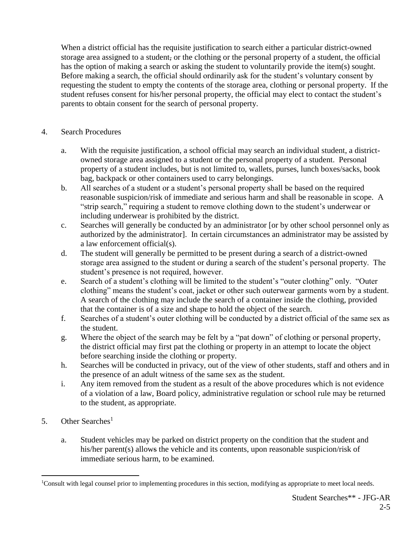When a district official has the requisite justification to search either a particular district-owned storage area assigned to a student, or the clothing or the personal property of a student, the official has the option of making a search or asking the student to voluntarily provide the item(s) sought. Before making a search, the official should ordinarily ask for the student's voluntary consent by requesting the student to empty the contents of the storage area, clothing or personal property. If the student refuses consent for his/her personal property, the official may elect to contact the student's parents to obtain consent for the search of personal property.

## 4. Search Procedures

- a. With the requisite justification, a school official may search an individual student, a districtowned storage area assigned to a student or the personal property of a student. Personal property of a student includes, but is not limited to, wallets, purses, lunch boxes/sacks, book bag, backpack or other containers used to carry belongings.
- b. All searches of a student or a student's personal property shall be based on the required reasonable suspicion/risk of immediate and serious harm and shall be reasonable in scope. A "strip search," requiring a student to remove clothing down to the student's underwear or including underwear is prohibited by the district.
- c. Searches will generally be conducted by an administrator [or by other school personnel only as authorized by the administrator]. In certain circumstances an administrator may be assisted by a law enforcement official(s).
- d. The student will generally be permitted to be present during a search of a district-owned storage area assigned to the student or during a search of the student's personal property. The student's presence is not required, however.
- e. Search of a student's clothing will be limited to the student's "outer clothing" only. "Outer clothing" means the student's coat, jacket or other such outerwear garments worn by a student. A search of the clothing may include the search of a container inside the clothing, provided that the container is of a size and shape to hold the object of the search.
- f. Searches of a student's outer clothing will be conducted by a district official of the same sex as the student.
- g. Where the object of the search may be felt by a "pat down" of clothing or personal property, the district official may first pat the clothing or property in an attempt to locate the object before searching inside the clothing or property.
- h. Searches will be conducted in privacy, out of the view of other students, staff and others and in the presence of an adult witness of the same sex as the student.
- i. Any item removed from the student as a result of the above procedures which is not evidence of a violation of a law, Board policy, administrative regulation or school rule may be returned to the student, as appropriate.
- 5. Other Searches<sup>1</sup>

 $\overline{a}$ 

a. Student vehicles may be parked on district property on the condition that the student and his/her parent(s) allows the vehicle and its contents, upon reasonable suspicion/risk of immediate serious harm, to be examined.

<sup>&</sup>lt;sup>1</sup>Consult with legal counsel prior to implementing procedures in this section, modifying as appropriate to meet local needs.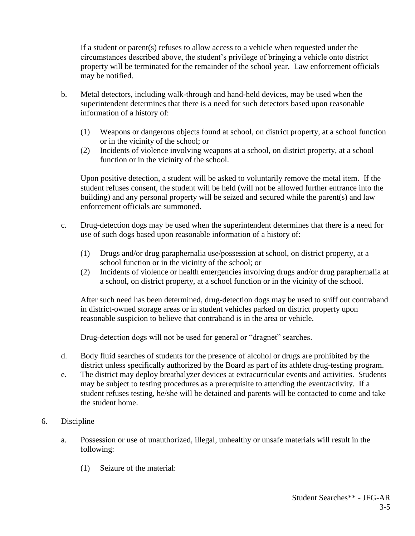If a student or parent(s) refuses to allow access to a vehicle when requested under the circumstances described above, the student's privilege of bringing a vehicle onto district property will be terminated for the remainder of the school year. Law enforcement officials may be notified.

- b. Metal detectors, including walk-through and hand-held devices, may be used when the superintendent determines that there is a need for such detectors based upon reasonable information of a history of:
	- (1) Weapons or dangerous objects found at school, on district property, at a school function or in the vicinity of the school; or
	- (2) Incidents of violence involving weapons at a school, on district property, at a school function or in the vicinity of the school.

Upon positive detection, a student will be asked to voluntarily remove the metal item. If the student refuses consent, the student will be held (will not be allowed further entrance into the building) and any personal property will be seized and secured while the parent(s) and law enforcement officials are summoned.

- c. Drug-detection dogs may be used when the superintendent determines that there is a need for use of such dogs based upon reasonable information of a history of:
	- (1) Drugs and/or drug paraphernalia use/possession at school, on district property, at a school function or in the vicinity of the school; or
	- (2) Incidents of violence or health emergencies involving drugs and/or drug paraphernalia at a school, on district property, at a school function or in the vicinity of the school.

After such need has been determined, drug-detection dogs may be used to sniff out contraband in district-owned storage areas or in student vehicles parked on district property upon reasonable suspicion to believe that contraband is in the area or vehicle.

Drug-detection dogs will not be used for general or "dragnet" searches.

- d. Body fluid searches of students for the presence of alcohol or drugs are prohibited by the district unless specifically authorized by the Board as part of its athlete drug-testing program.
- e. The district may deploy breathalyzer devices at extracurricular events and activities. Students may be subject to testing procedures as a prerequisite to attending the event/activity. If a student refuses testing, he/she will be detained and parents will be contacted to come and take the student home.
- 6. Discipline
	- a. Possession or use of unauthorized, illegal, unhealthy or unsafe materials will result in the following:
		- (1) Seizure of the material: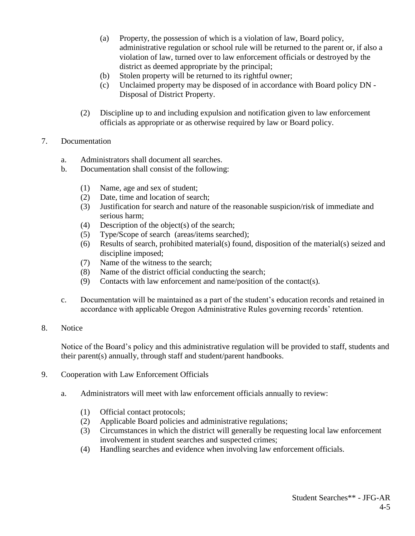- (a) Property, the possession of which is a violation of law, Board policy, administrative regulation or school rule will be returned to the parent or, if also a violation of law, turned over to law enforcement officials or destroyed by the district as deemed appropriate by the principal;
- (b) Stolen property will be returned to its rightful owner;
- (c) Unclaimed property may be disposed of in accordance with Board policy DN Disposal of District Property.
- (2) Discipline up to and including expulsion and notification given to law enforcement officials as appropriate or as otherwise required by law or Board policy.
- 7. Documentation
	- a. Administrators shall document all searches.
	- b. Documentation shall consist of the following:
		- (1) Name, age and sex of student;
		- (2) Date, time and location of search;
		- (3) Justification for search and nature of the reasonable suspicion/risk of immediate and serious harm;
		- (4) Description of the object(s) of the search;
		- (5) Type/Scope of search (areas/items searched);
		- (6) Results of search, prohibited material(s) found, disposition of the material(s) seized and discipline imposed;
		- (7) Name of the witness to the search;
		- (8) Name of the district official conducting the search;
		- (9) Contacts with law enforcement and name/position of the contact(s).
	- c. Documentation will be maintained as a part of the student's education records and retained in accordance with applicable Oregon Administrative Rules governing records' retention.
- 8. Notice

Notice of the Board's policy and this administrative regulation will be provided to staff, students and their parent(s) annually, through staff and student/parent handbooks.

- 9. Cooperation with Law Enforcement Officials
	- a. Administrators will meet with law enforcement officials annually to review:
		- (1) Official contact protocols;
		- (2) Applicable Board policies and administrative regulations;
		- (3) Circumstances in which the district will generally be requesting local law enforcement involvement in student searches and suspected crimes;
		- (4) Handling searches and evidence when involving law enforcement officials.